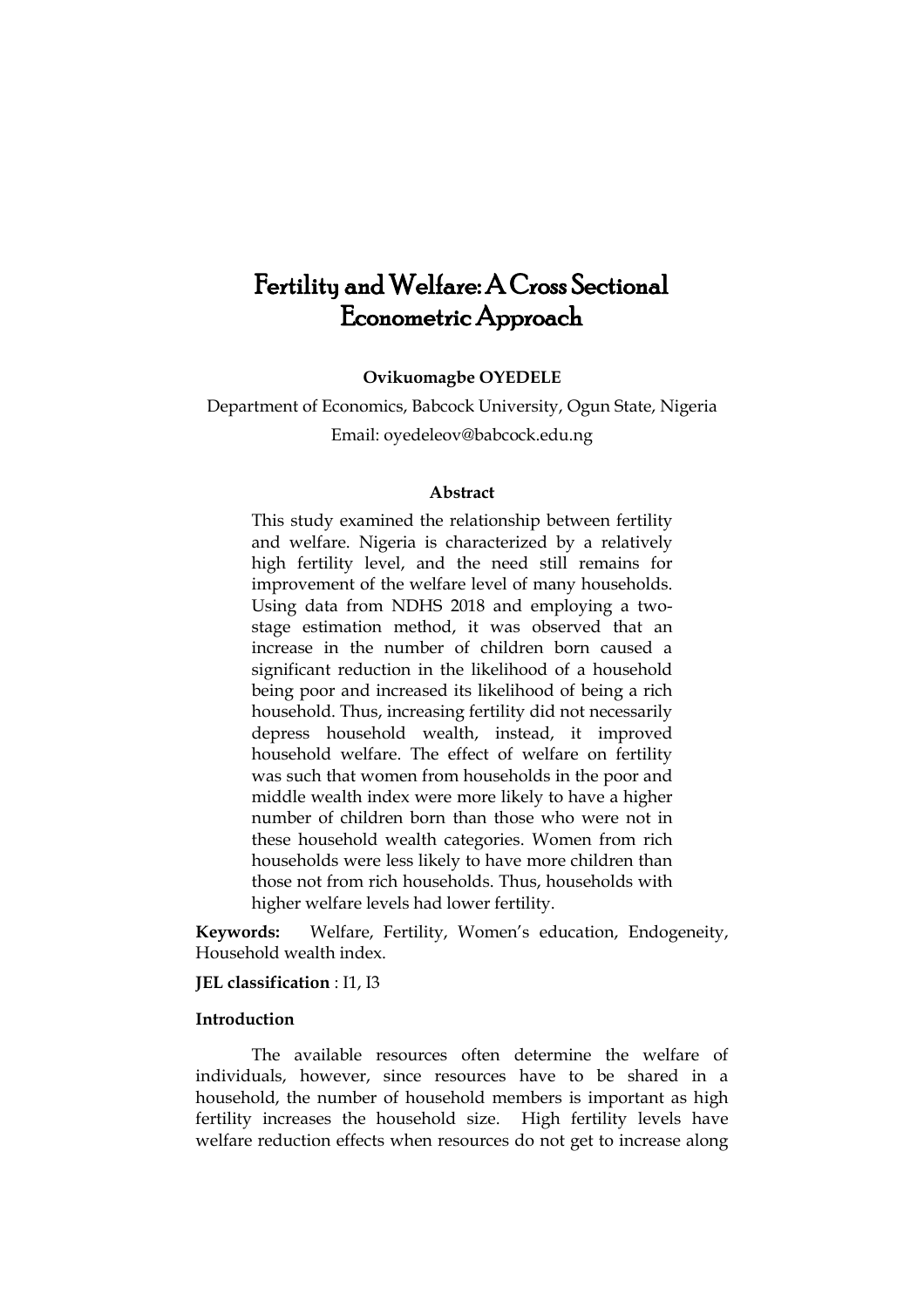# Fertility and Welfare: A Cross Sectional Econometric Approach

**Ovikuomagbe OYEDELE**

## Department of Economics, Babcock University, Ogun State, Nigeria Email: [oyedeleov@babcock.edu.ng](mailto:oyedeleov@babcock.edu.ng)

## **Abstract**

This study examined the relationship between fertility and welfare. Nigeria is characterized by a relatively high fertility level, and the need still remains for improvement of the welfare level of many households. Using data from NDHS 2018 and employing a twostage estimation method, it was observed that an increase in the number of children born caused a significant reduction in the likelihood of a household being poor and increased its likelihood of being a rich household. Thus, increasing fertility did not necessarily depress household wealth, instead, it improved household welfare. The effect of welfare on fertility was such that women from households in the poor and middle wealth index were more likely to have a higher number of children born than those who were not in these household wealth categories. Women from rich households were less likely to have more children than those not from rich households. Thus, households with higher welfare levels had lower fertility.

**Keywords:** Welfare, Fertility, Women's education, Endogeneity, Household wealth index.

## **JEL classification** : I1, I3

## **Introduction**

The available resources often determine the welfare of individuals, however, since resources have to be shared in a household, the number of household members is important as high fertility increases the household size. High fertility levels have welfare reduction effects when resources do not get to increase along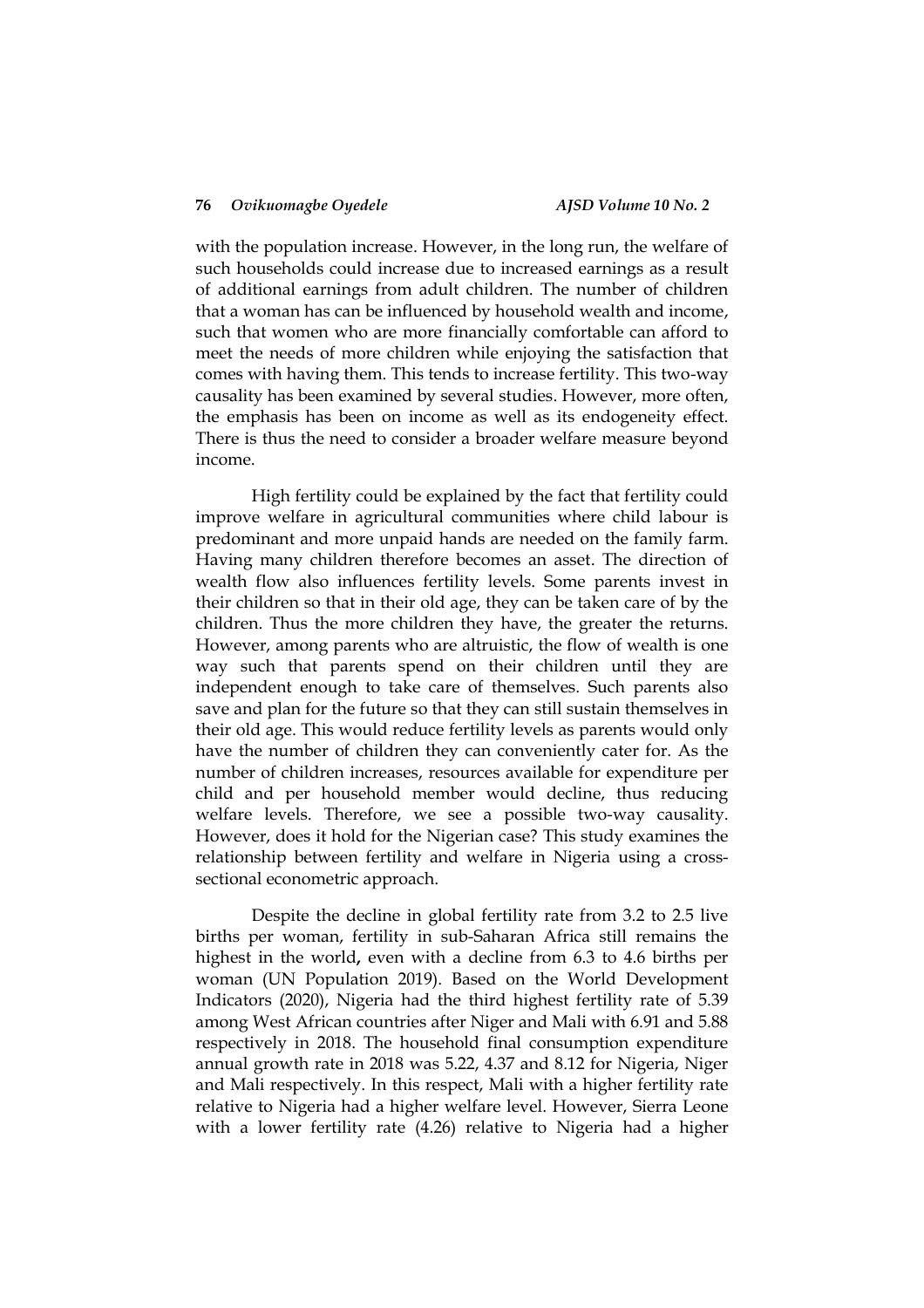with the population increase. However, in the long run, the welfare of such households could increase due to increased earnings as a result of additional earnings from adult children. The number of children that a woman has can be influenced by household wealth and income, such that women who are more financially comfortable can afford to meet the needs of more children while enjoying the satisfaction that comes with having them. This tends to increase fertility. This two-way causality has been examined by several studies. However, more often, the emphasis has been on income as well as its endogeneity effect. There is thus the need to consider a broader welfare measure beyond income.

High fertility could be explained by the fact that fertility could improve welfare in agricultural communities where child labour is predominant and more unpaid hands are needed on the family farm. Having many children therefore becomes an asset. The direction of wealth flow also influences fertility levels. Some parents invest in their children so that in their old age, they can be taken care of by the children. Thus the more children they have, the greater the returns. However, among parents who are altruistic, the flow of wealth is one way such that parents spend on their children until they are independent enough to take care of themselves. Such parents also save and plan for the future so that they can still sustain themselves in their old age. This would reduce fertility levels as parents would only have the number of children they can conveniently cater for. As the number of children increases, resources available for expenditure per child and per household member would decline, thus reducing welfare levels. Therefore, we see a possible two-way causality. However, does it hold for the Nigerian case? This study examines the relationship between fertility and welfare in Nigeria using a crosssectional econometric approach.

Despite the decline in global fertility rate from 3.2 to 2.5 live births per woman, fertility in sub-Saharan Africa still remains the highest in the world**,** even with a decline from 6.3 to 4.6 births per woman (UN Population 2019). Based on the World Development Indicators (2020), Nigeria had the third highest fertility rate of 5.39 among West African countries after Niger and Mali with 6.91 and 5.88 respectively in 2018. The household final consumption expenditure annual growth rate in 2018 was 5.22, 4.37 and 8.12 for Nigeria, Niger and Mali respectively. In this respect, Mali with a higher fertility rate relative to Nigeria had a higher welfare level. However, Sierra Leone with a lower fertility rate (4.26) relative to Nigeria had a higher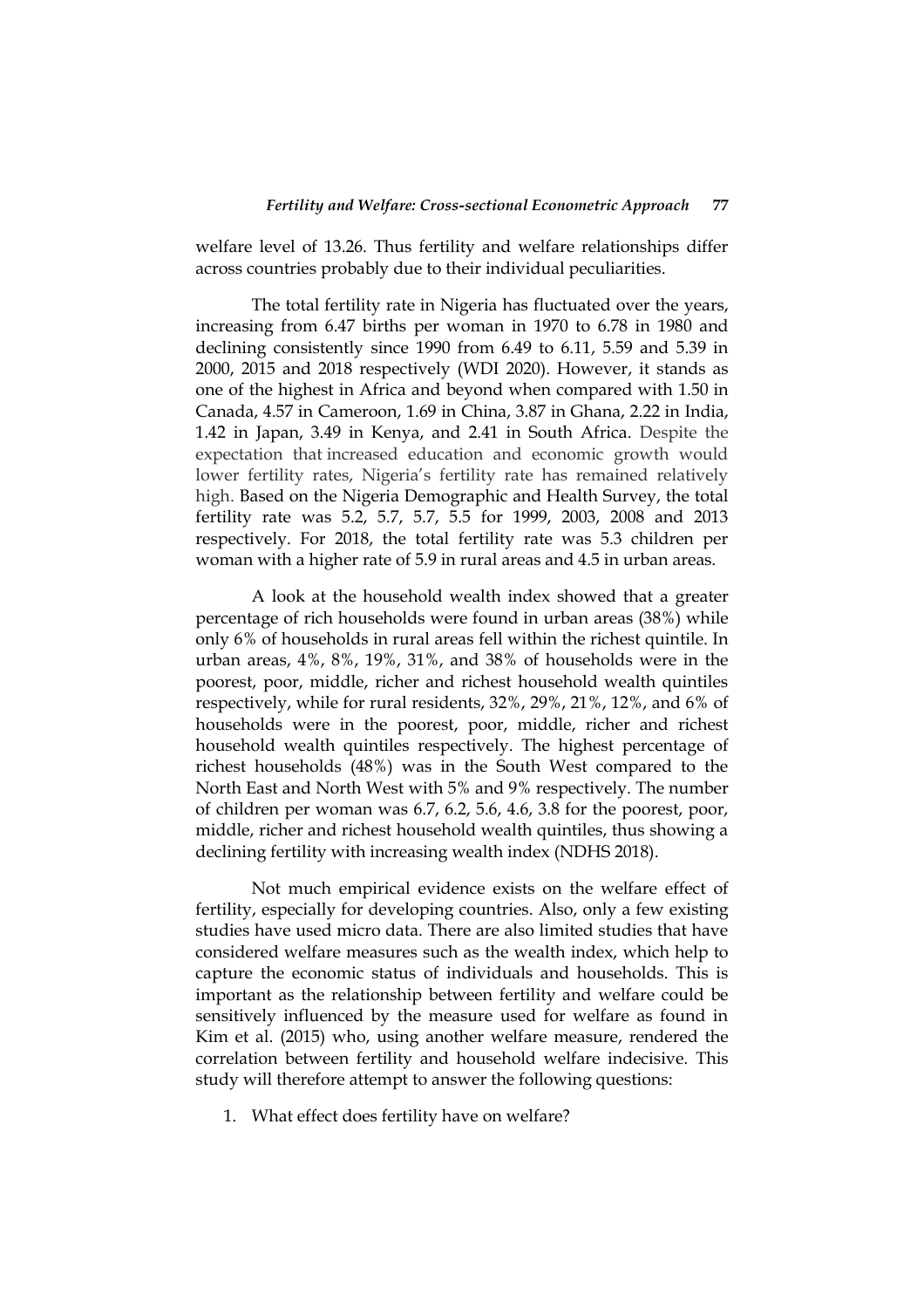welfare level of 13.26. Thus fertility and welfare relationships differ across countries probably due to their individual peculiarities.

The total fertility rate in Nigeria has fluctuated over the years, increasing from 6.47 births per woman in 1970 to 6.78 in 1980 and declining consistently since 1990 from 6.49 to 6.11, 5.59 and 5.39 in 2000, 2015 and 2018 respectively (WDI 2020). However, it stands as one of the highest in Africa and beyond when compared with 1.50 in Canada, 4.57 in Cameroon, 1.69 in China, 3.87 in Ghana, 2.22 in India, 1.42 in Japan, 3.49 in Kenya, and 2.41 in South Africa. Despite the expectation that increased education and economic growth would lower fertility rates, Nigeria's fertility rate has remained relatively high. Based on the Nigeria Demographic and Health Survey, the total fertility rate was 5.2, 5.7, 5.7, 5.5 for 1999, 2003, 2008 and 2013 respectively. For 2018, the total fertility rate was 5.3 children per woman with a higher rate of 5.9 in rural areas and 4.5 in urban areas.

A look at the household wealth index showed that a greater percentage of rich households were found in urban areas (38%) while only 6% of households in rural areas fell within the richest quintile. In urban areas, 4%, 8%, 19%, 31%, and 38% of households were in the poorest, poor, middle, richer and richest household wealth quintiles respectively, while for rural residents, 32%, 29%, 21%, 12%, and 6% of households were in the poorest, poor, middle, richer and richest household wealth quintiles respectively. The highest percentage of richest households (48%) was in the South West compared to the North East and North West with 5% and 9% respectively. The number of children per woman was 6.7, 6.2, 5.6, 4.6, 3.8 for the poorest, poor, middle, richer and richest household wealth quintiles, thus showing a declining fertility with increasing wealth index (NDHS 2018).

Not much empirical evidence exists on the welfare effect of fertility, especially for developing countries. Also, only a few existing studies have used micro data. There are also limited studies that have considered welfare measures such as the wealth index, which help to capture the economic status of individuals and households. This is important as the relationship between fertility and welfare could be sensitively influenced by the measure used for welfare as found in Kim et al. (2015) who, using another welfare measure, rendered the correlation between fertility and household welfare indecisive. This study will therefore attempt to answer the following questions:

1. What effect does fertility have on welfare?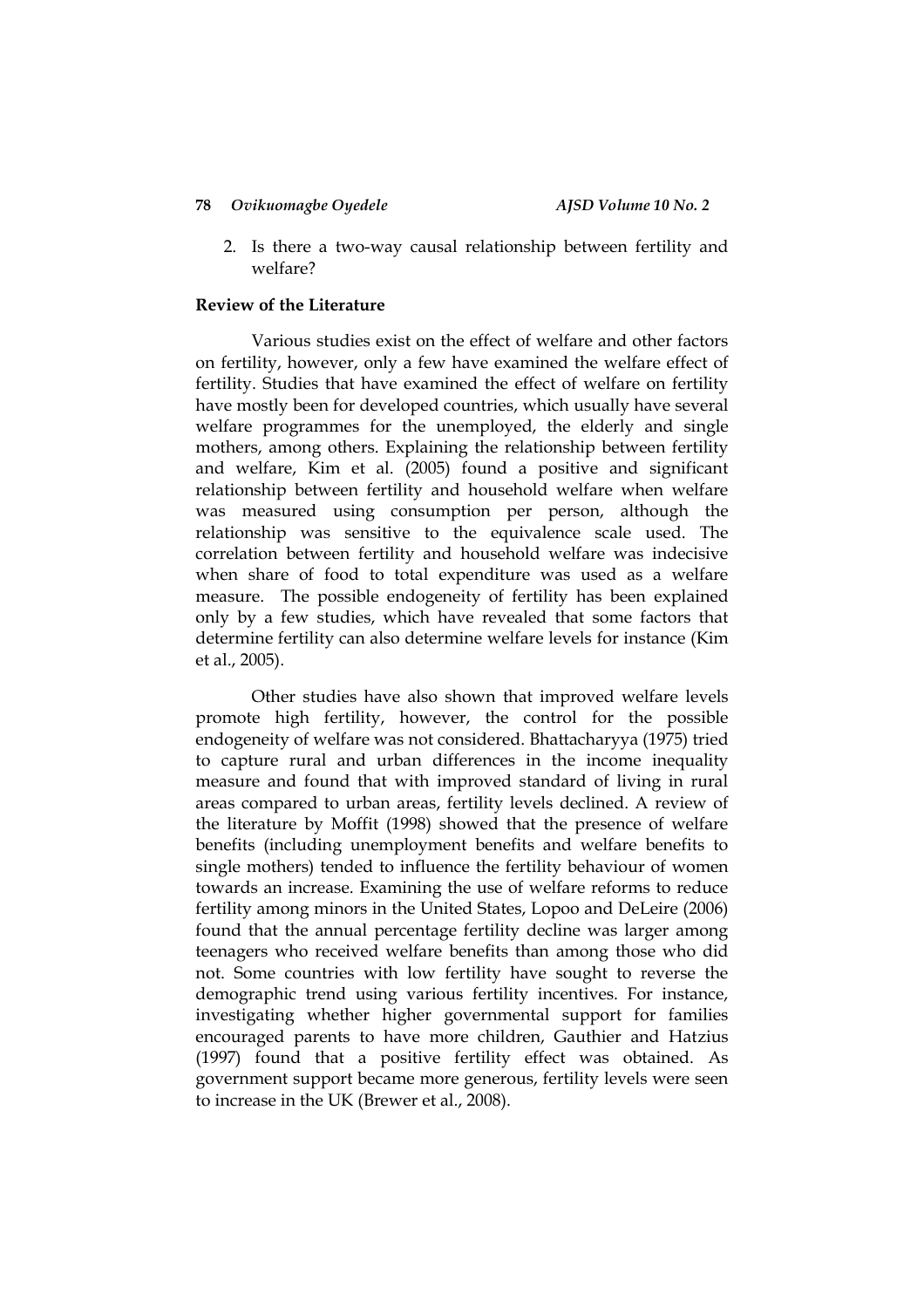2. Is there a two-way causal relationship between fertility and welfare?

## **Review of the Literature**

Various studies exist on the effect of welfare and other factors on fertility, however, only a few have examined the welfare effect of fertility. Studies that have examined the effect of welfare on fertility have mostly been for developed countries, which usually have several welfare programmes for the unemployed, the elderly and single mothers, among others. Explaining the relationship between fertility and welfare, Kim et al. (2005) found a positive and significant relationship between fertility and household welfare when welfare was measured using consumption per person, although the relationship was sensitive to the equivalence scale used. The correlation between fertility and household welfare was indecisive when share of food to total expenditure was used as a welfare measure. The possible endogeneity of fertility has been explained only by a few studies, which have revealed that some factors that determine fertility can also determine welfare levels for instance (Kim et al., 2005).

Other studies have also shown that improved welfare levels promote high fertility, however, the control for the possible endogeneity of welfare was not considered. Bhattacharyya (1975) tried to capture rural and urban differences in the income inequality measure and found that with improved standard of living in rural areas compared to urban areas, fertility levels declined. A review of the literature by Moffit (1998) showed that the presence of welfare benefits (including unemployment benefits and welfare benefits to single mothers) tended to influence the fertility behaviour of women towards an increase. Examining the use of welfare reforms to reduce fertility among minors in the United States, Lopoo and DeLeire (2006) found that the annual percentage fertility decline was larger among teenagers who received welfare benefits than among those who did not. Some countries with low fertility have sought to reverse the demographic trend using various fertility incentives. For instance, investigating whether higher governmental support for families encouraged parents to have more children, Gauthier and Hatzius (1997) found that a positive fertility effect was obtained. As government support became more generous, fertility levels were seen to increase in the UK (Brewer et al., 2008).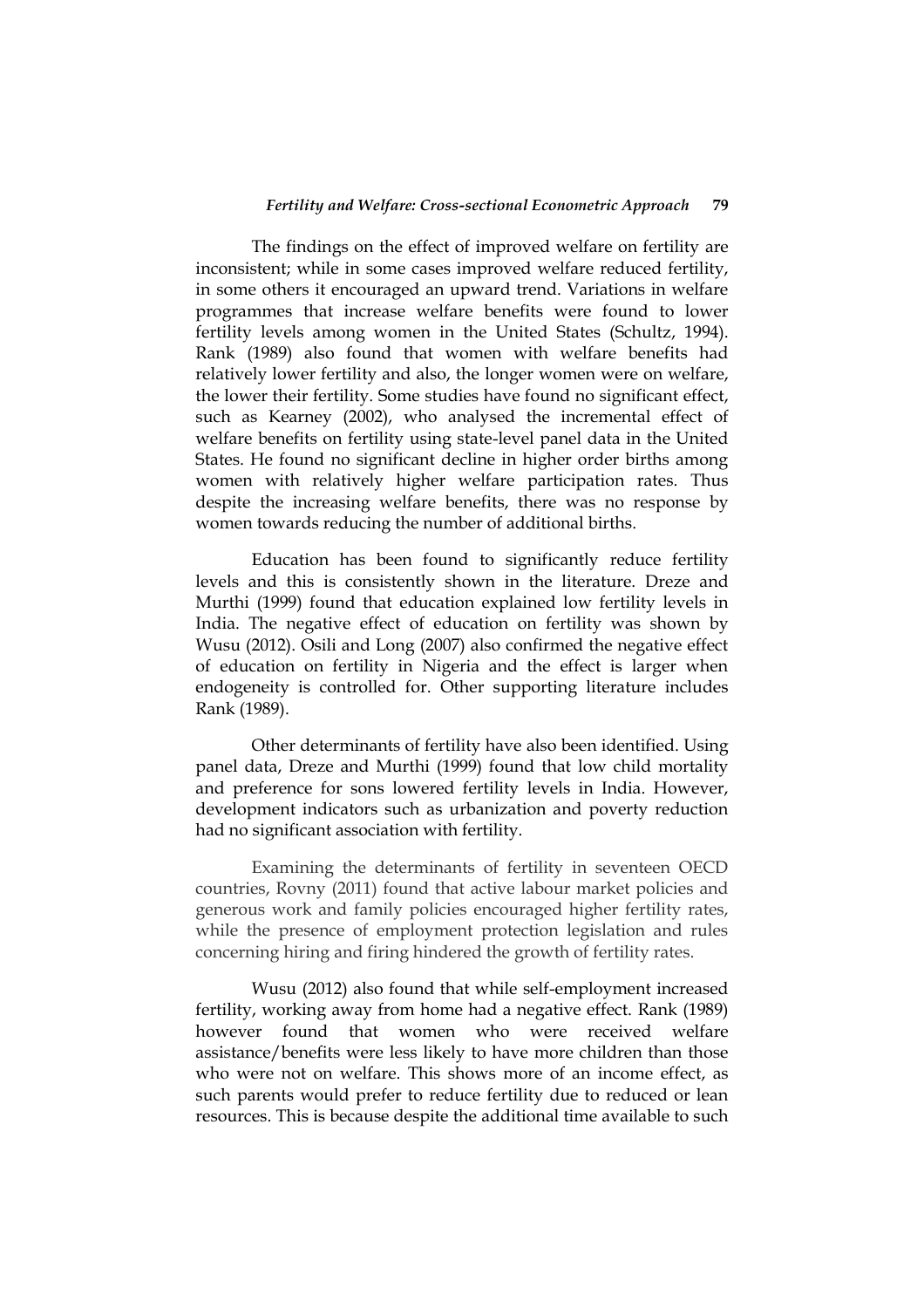The findings on the effect of improved welfare on fertility are inconsistent; while in some cases improved welfare reduced fertility, in some others it encouraged an upward trend. Variations in welfare programmes that increase welfare benefits were found to lower fertility levels among women in the United States (Schultz, 1994). Rank (1989) also found that women with welfare benefits had relatively lower fertility and also, the longer women were on welfare, the lower their fertility. Some studies have found no significant effect, such as Kearney (2002), who analysed the incremental effect of welfare benefits on fertility using state-level panel data in the United States. He found no significant decline in higher order births among women with relatively higher welfare participation rates. Thus despite the increasing welfare benefits, there was no response by women towards reducing the number of additional births.

Education has been found to significantly reduce fertility levels and this is consistently shown in the literature. Dreze and Murthi (1999) found that education explained low fertility levels in India. The negative effect of education on fertility was shown by Wusu (2012). Osili and Long (2007) also confirmed the negative effect of education on fertility in Nigeria and the effect is larger when endogeneity is controlled for. Other supporting literature includes Rank (1989).

Other determinants of fertility have also been identified. Using panel data, Dreze and Murthi (1999) found that low child mortality and preference for sons lowered fertility levels in India. However, development indicators such as urbanization and poverty reduction had no significant association with fertility.

Examining the determinants of fertility in seventeen OECD countries, Rovny (2011) found that active labour market policies and generous work and family policies encouraged higher fertility rates, while the presence of employment protection legislation and rules concerning hiring and firing hindered the growth of fertility rates.

Wusu (2012) also found that while self-employment increased fertility, working away from home had a negative effect. Rank (1989) however found that women who were received welfare assistance/benefits were less likely to have more children than those who were not on welfare. This shows more of an income effect, as such parents would prefer to reduce fertility due to reduced or lean resources. This is because despite the additional time available to such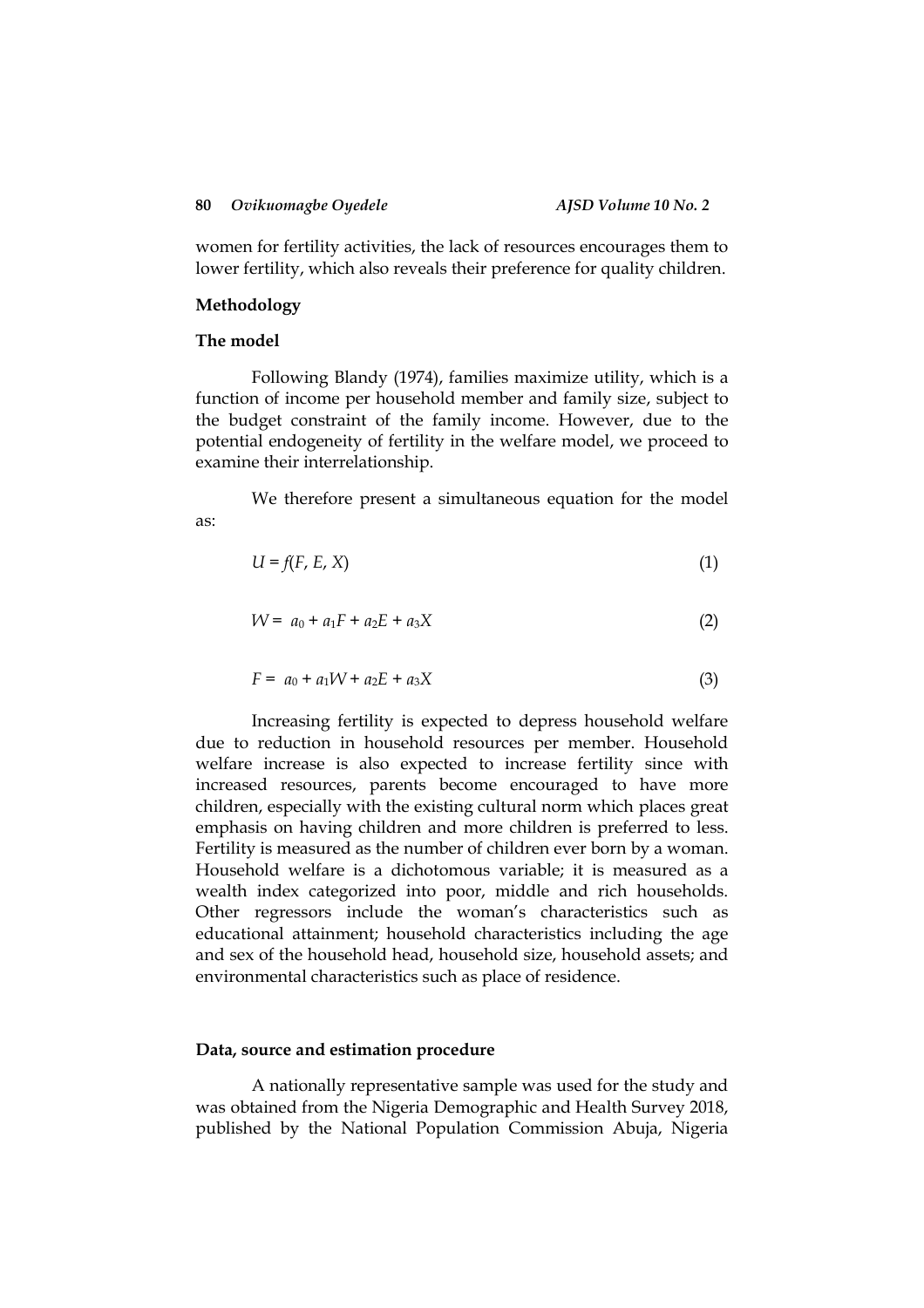women for fertility activities, the lack of resources encourages them to lower fertility, which also reveals their preference for quality children.

## **Methodology**

## **The model**

Following Blandy (1974), families maximize utility, which is a function of income per household member and family size, subject to the budget constraint of the family income. However, due to the potential endogeneity of fertility in the welfare model, we proceed to examine their interrelationship.

We therefore present a simultaneous equation for the model as:

$$
U = f(F, E, X) \tag{1}
$$

$$
W = a_0 + a_1 F + a_2 E + a_3 X \tag{2}
$$

$$
F = a_0 + a_1 W + a_2 E + a_3 X \tag{3}
$$

Increasing fertility is expected to depress household welfare due to reduction in household resources per member. Household welfare increase is also expected to increase fertility since with increased resources, parents become encouraged to have more children, especially with the existing cultural norm which places great emphasis on having children and more children is preferred to less. Fertility is measured as the number of children ever born by a woman. Household welfare is a dichotomous variable; it is measured as a wealth index categorized into poor, middle and rich households. Other regressors include the woman's characteristics such as educational attainment; household characteristics including the age and sex of the household head, household size, household assets; and environmental characteristics such as place of residence.

## **Data, source and estimation procedure**

A nationally representative sample was used for the study and was obtained from the Nigeria Demographic and Health Survey 2018, published by the National Population Commission Abuja, Nigeria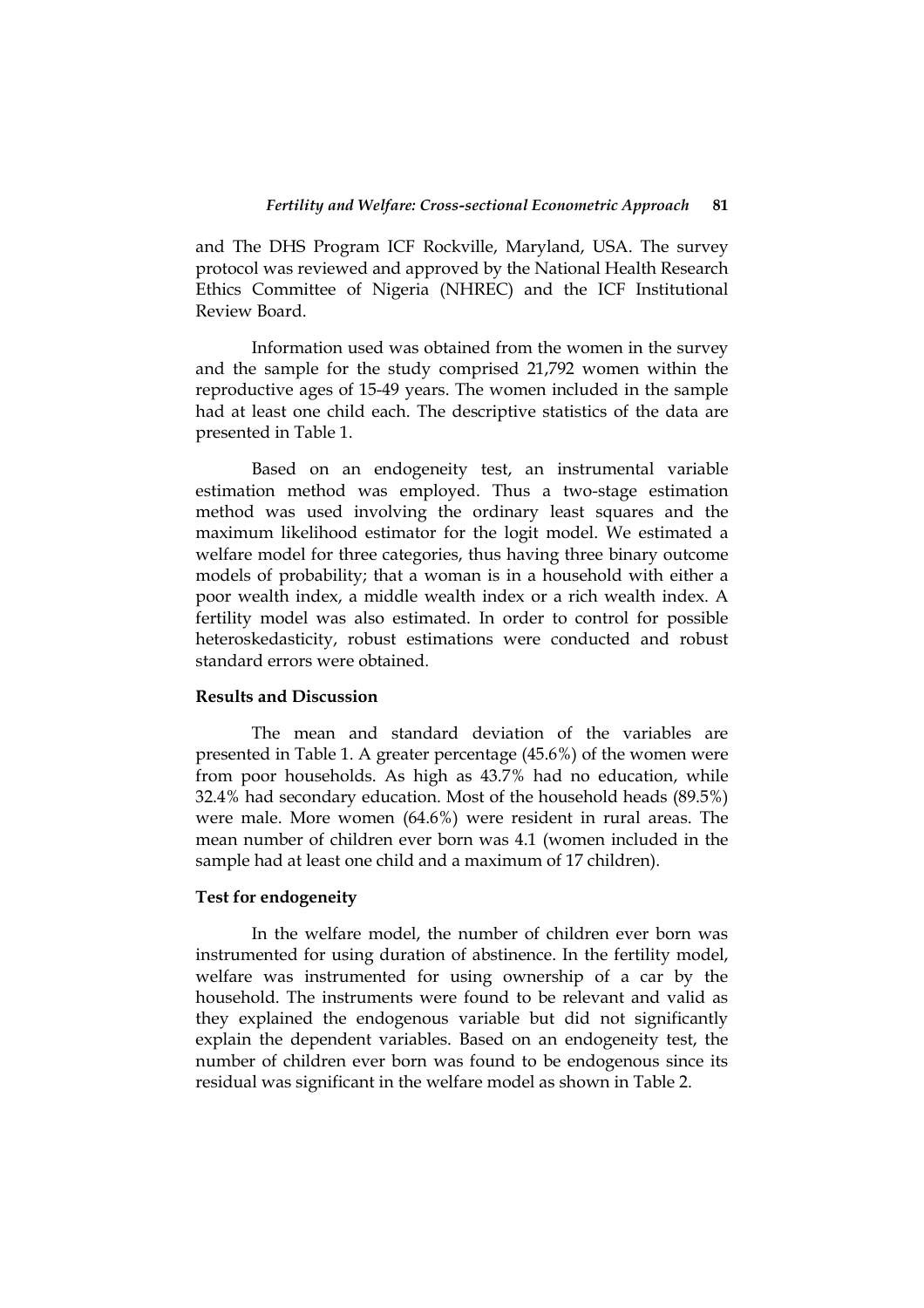and The DHS Program ICF Rockville, Maryland, USA. The survey protocol was reviewed and approved by the National Health Research Ethics Committee of Nigeria (NHREC) and the ICF Institutional Review Board.

Information used was obtained from the women in the survey and the sample for the study comprised 21,792 women within the reproductive ages of 15-49 years. The women included in the sample had at least one child each. The descriptive statistics of the data are presented in Table 1.

Based on an endogeneity test, an instrumental variable estimation method was employed. Thus a two-stage estimation method was used involving the ordinary least squares and the maximum likelihood estimator for the logit model. We estimated a welfare model for three categories, thus having three binary outcome models of probability; that a woman is in a household with either a poor wealth index, a middle wealth index or a rich wealth index. A fertility model was also estimated. In order to control for possible heteroskedasticity, robust estimations were conducted and robust standard errors were obtained.

## **Results and Discussion**

The mean and standard deviation of the variables are presented in Table 1. A greater percentage (45.6%) of the women were from poor households. As high as 43.7% had no education, while 32.4% had secondary education. Most of the household heads (89.5%) were male. More women (64.6%) were resident in rural areas. The mean number of children ever born was 4.1 (women included in the sample had at least one child and a maximum of 17 children).

## **Test for endogeneity**

In the welfare model, the number of children ever born was instrumented for using duration of abstinence. In the fertility model, welfare was instrumented for using ownership of a car by the household. The instruments were found to be relevant and valid as they explained the endogenous variable but did not significantly explain the dependent variables. Based on an endogeneity test, the number of children ever born was found to be endogenous since its residual was significant in the welfare model as shown in Table 2.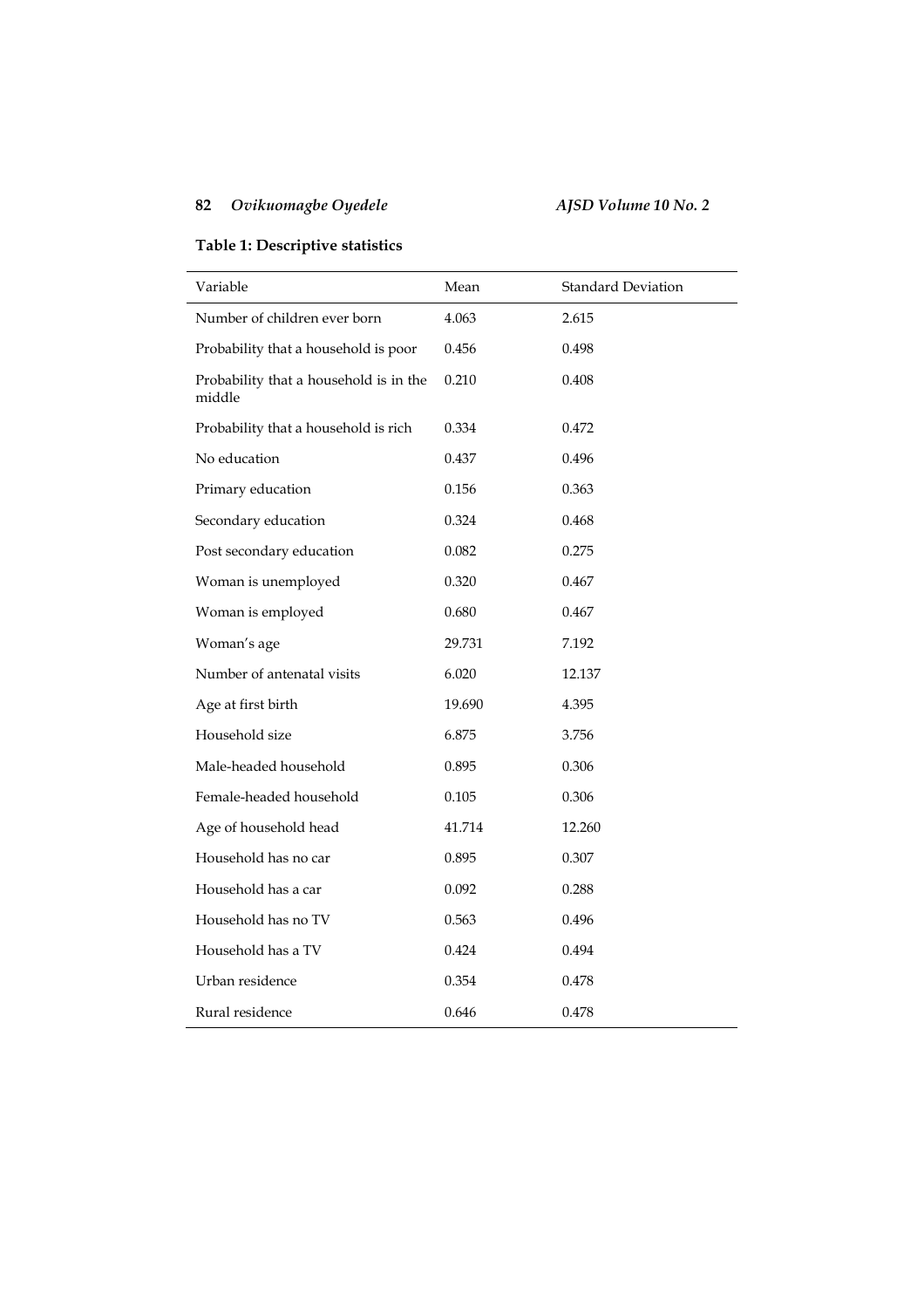## **Table 1: Descriptive statistics**

| Variable                                         | Mean   | <b>Standard Deviation</b> |
|--------------------------------------------------|--------|---------------------------|
| Number of children ever born                     | 4.063  | 2.615                     |
| Probability that a household is poor             | 0.456  | 0.498                     |
| Probability that a household is in the<br>middle | 0.210  | 0.408                     |
| Probability that a household is rich             | 0.334  | 0.472                     |
| No education                                     | 0.437  | 0.496                     |
| Primary education                                | 0.156  | 0.363                     |
| Secondary education                              | 0.324  | 0.468                     |
| Post secondary education                         | 0.082  | 0.275                     |
| Woman is unemployed                              | 0.320  | 0.467                     |
| Woman is employed                                | 0.680  | 0.467                     |
| Woman's age                                      | 29.731 | 7.192                     |
| Number of antenatal visits                       | 6.020  | 12.137                    |
| Age at first birth                               | 19.690 | 4.395                     |
| Household size                                   | 6.875  | 3.756                     |
| Male-headed household                            | 0.895  | 0.306                     |
| Female-headed household                          | 0.105  | 0.306                     |
| Age of household head                            | 41.714 | 12.260                    |
| Household has no car                             | 0.895  | 0.307                     |
| Household has a car                              | 0.092  | 0.288                     |
| Household has no TV                              | 0.563  | 0.496                     |
| Household has a TV                               | 0.424  | 0.494                     |
| Urban residence                                  | 0.354  | 0.478                     |
| Rural residence                                  | 0.646  | 0.478                     |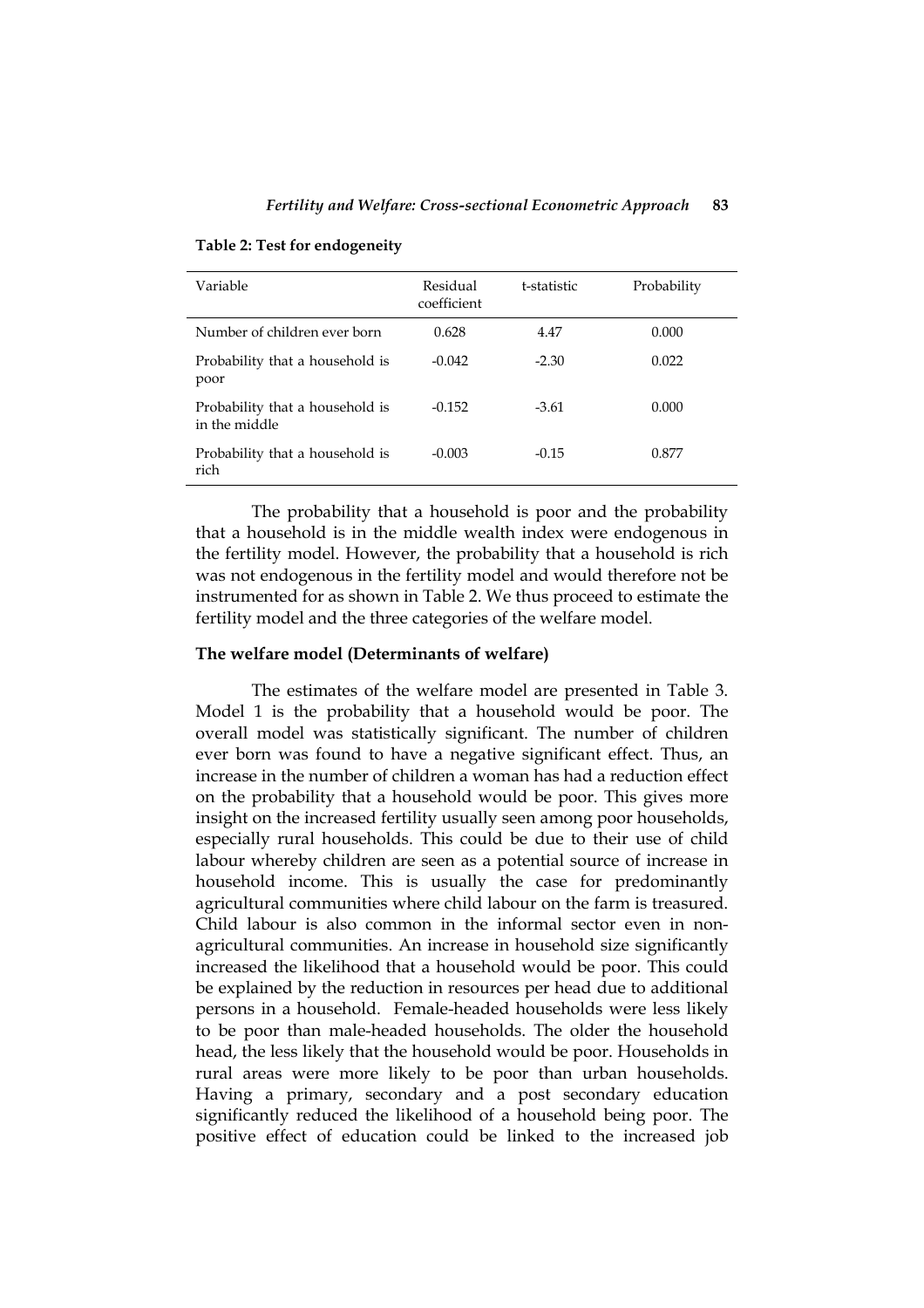| Variable                                         | Residual<br>coefficient | t-statistic | Probability |
|--------------------------------------------------|-------------------------|-------------|-------------|
| Number of children ever born                     | 0.628                   | 4.47        | 0.000       |
| Probability that a household is<br>poor          | $-0.042$                | $-2.30$     | 0.022       |
| Probability that a household is<br>in the middle | $-0.152$                | $-3.61$     | 0.000       |
| Probability that a household is<br>rich          | $-0.003$                | $-0.15$     | 0.877       |

**Table 2: Test for endogeneity**

The probability that a household is poor and the probability that a household is in the middle wealth index were endogenous in the fertility model. However, the probability that a household is rich was not endogenous in the fertility model and would therefore not be instrumented for as shown in Table 2. We thus proceed to estimate the fertility model and the three categories of the welfare model.

## **The welfare model (Determinants of welfare)**

The estimates of the welfare model are presented in Table 3. Model 1 is the probability that a household would be poor. The overall model was statistically significant. The number of children ever born was found to have a negative significant effect. Thus, an increase in the number of children a woman has had a reduction effect on the probability that a household would be poor. This gives more insight on the increased fertility usually seen among poor households, especially rural households. This could be due to their use of child labour whereby children are seen as a potential source of increase in household income. This is usually the case for predominantly agricultural communities where child labour on the farm is treasured. Child labour is also common in the informal sector even in nonagricultural communities. An increase in household size significantly increased the likelihood that a household would be poor. This could be explained by the reduction in resources per head due to additional persons in a household. Female-headed households were less likely to be poor than male-headed households. The older the household head, the less likely that the household would be poor. Households in rural areas were more likely to be poor than urban households. Having a primary, secondary and a post secondary education significantly reduced the likelihood of a household being poor. The positive effect of education could be linked to the increased job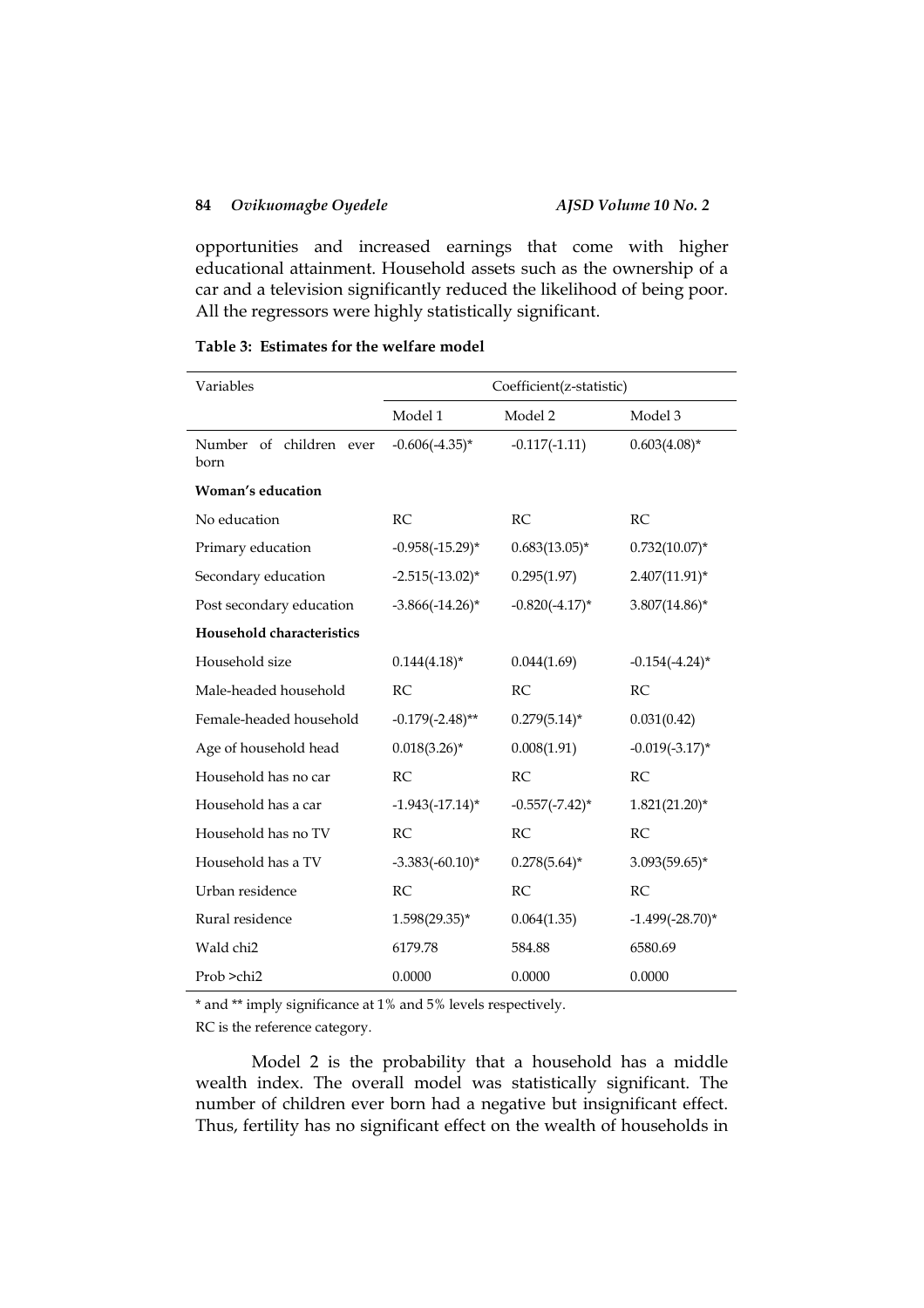opportunities and increased earnings that come with higher educational attainment. Household assets such as the ownership of a car and a television significantly reduced the likelihood of being poor. All the regressors were highly statistically significant.

## **Table 3: Estimates for the welfare model**

| Variables                        | Coefficient(z-statistic) |                     |                     |
|----------------------------------|--------------------------|---------------------|---------------------|
|                                  | Model 1                  | Model 2             | Model 3             |
| Number of children ever<br>born  | $-0.606(-4.35)$ *        | $-0.117(-1.11)$     | $0.603(4.08)*$      |
| Woman's education                |                          |                     |                     |
| No education                     | RC                       | RC                  | RC                  |
| Primary education                | $-0.958(-15.29)$ *       | $0.683(13.05)^*$    | $0.732(10.07)^*$    |
| Secondary education              | $-2.515(-13.02)^{*}$     | 0.295(1.97)         | $2.407(11.91)^*$    |
| Post secondary education         | $-3.866(-14.26)$ *       | $-0.820(-4.17)^{*}$ | $3.807(14.86)$ *    |
| <b>Household characteristics</b> |                          |                     |                     |
| Household size                   | $0.144(4.18)^*$          | 0.044(1.69)         | $-0.154(-4.24)$ *   |
| Male-headed household            | RC                       | RC.                 | <b>RC</b>           |
| Female-headed household          | $-0.179(-2.48)$ **       | $0.279(5.14)^*$     | 0.031(0.42)         |
| Age of household head            | $0.018(3.26)$ *          | 0.008(1.91)         | $-0.019(-3.17)^{*}$ |
| Household has no car             | RC.                      | RC                  | <b>RC</b>           |
| Household has a car              | $-1.943(-17.14)^{*}$     | $-0.557(-7.42)^{*}$ | $1.821(21.20)$ *    |
| Household has no TV              | RC                       | RC                  | RC                  |
| Household has a TV               | $-3.383(-60.10)^{*}$     | $0.278(5.64)^*$     | $3.093(59.65)^*$    |
| Urban residence                  | RC                       | RC                  | RC                  |
| Rural residence                  | $1.598(29.35)^*$         | 0.064(1.35)         | $-1.499(-28.70)$ *  |
| Wald chi2                        | 6179.78                  | 584.88              | 6580.69             |
| Prob >chi2                       | 0.0000                   | 0.0000              | 0.0000              |

\* and \*\* imply significance at 1% and 5% levels respectively.

RC is the reference category.

Model 2 is the probability that a household has a middle wealth index. The overall model was statistically significant. The number of children ever born had a negative but insignificant effect. Thus, fertility has no significant effect on the wealth of households in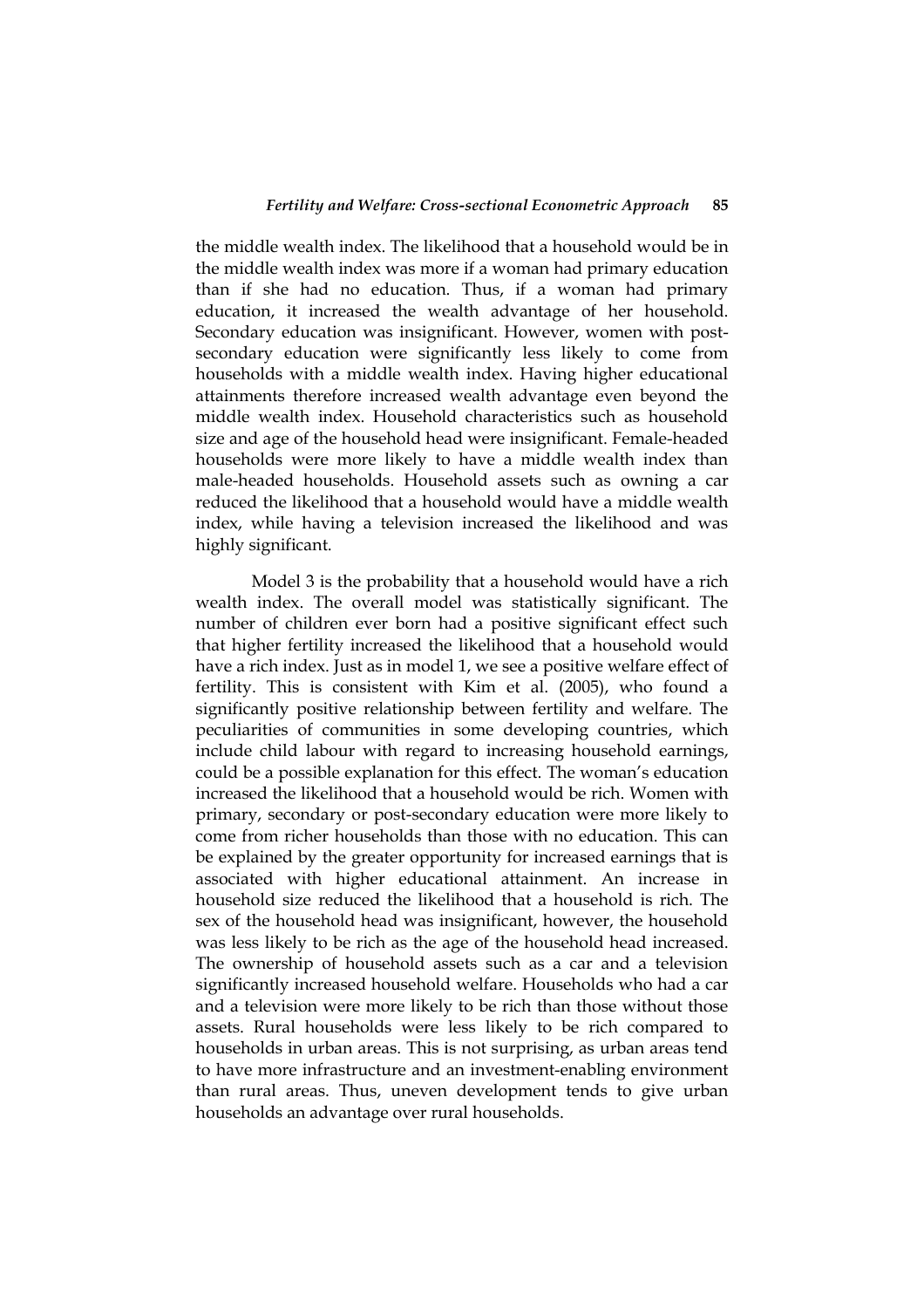the middle wealth index. The likelihood that a household would be in the middle wealth index was more if a woman had primary education than if she had no education. Thus, if a woman had primary education, it increased the wealth advantage of her household. Secondary education was insignificant. However, women with postsecondary education were significantly less likely to come from households with a middle wealth index. Having higher educational attainments therefore increased wealth advantage even beyond the middle wealth index. Household characteristics such as household size and age of the household head were insignificant. Female-headed households were more likely to have a middle wealth index than male-headed households. Household assets such as owning a car reduced the likelihood that a household would have a middle wealth index, while having a television increased the likelihood and was highly significant.

Model 3 is the probability that a household would have a rich wealth index. The overall model was statistically significant. The number of children ever born had a positive significant effect such that higher fertility increased the likelihood that a household would have a rich index. Just as in model 1, we see a positive welfare effect of fertility. This is consistent with Kim et al. (2005), who found a significantly positive relationship between fertility and welfare. The peculiarities of communities in some developing countries, which include child labour with regard to increasing household earnings, could be a possible explanation for this effect. The woman's education increased the likelihood that a household would be rich. Women with primary, secondary or post-secondary education were more likely to come from richer households than those with no education. This can be explained by the greater opportunity for increased earnings that is associated with higher educational attainment. An increase in household size reduced the likelihood that a household is rich. The sex of the household head was insignificant, however, the household was less likely to be rich as the age of the household head increased. The ownership of household assets such as a car and a television significantly increased household welfare. Households who had a car and a television were more likely to be rich than those without those assets. Rural households were less likely to be rich compared to households in urban areas. This is not surprising, as urban areas tend to have more infrastructure and an investment-enabling environment than rural areas. Thus, uneven development tends to give urban households an advantage over rural households.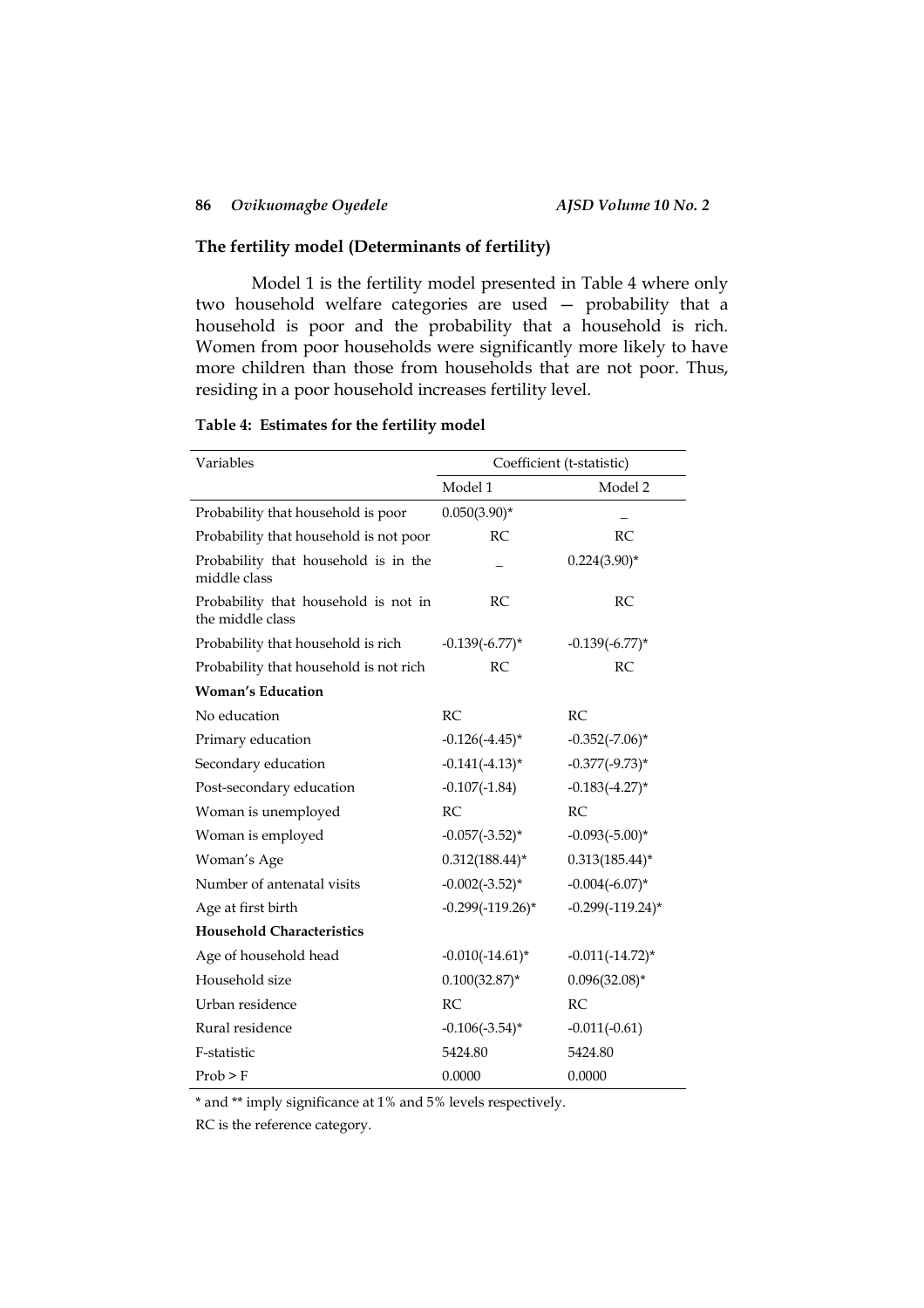## **The fertility model (Determinants of fertility)**

Model 1 is the fertility model presented in Table 4 where only two household welfare categories are used — probability that a household is poor and the probability that a household is rich. Women from poor households were significantly more likely to have more children than those from households that are not poor. Thus, residing in a poor household increases fertility level.

|  | Table 4: Estimates for the fertility model |  |  |  |
|--|--------------------------------------------|--|--|--|
|--|--------------------------------------------|--|--|--|

| Variables                                                | Coefficient (t-statistic) |                     |  |
|----------------------------------------------------------|---------------------------|---------------------|--|
|                                                          | Model 1                   | Model 2             |  |
| Probability that household is poor                       | $0.050(3.90)$ *           |                     |  |
| Probability that household is not poor                   | RC                        | RC                  |  |
| Probability that household is in the<br>middle class     |                           | $0.224(3.90)$ *     |  |
| Probability that household is not in<br>the middle class | <b>RC</b>                 | RC                  |  |
| Probability that household is rich                       | $-0.139(-6.77)$ *         | $-0.139(-6.77)$ *   |  |
| Probability that household is not rich                   | RC                        | RC                  |  |
| <b>Woman's Education</b>                                 |                           |                     |  |
| No education                                             | RC.                       | RC                  |  |
| Primary education                                        | $-0.126(-4.45)^{*}$       | $-0.352(-7.06)$ *   |  |
| Secondary education                                      | $-0.141(-4.13)^*$         | $-0.377(-9.73)$ *   |  |
| Post-secondary education                                 | $-0.107(-1.84)$           | $-0.183(-4.27)$ *   |  |
| Woman is unemployed                                      | RC                        | RC                  |  |
| Woman is employed                                        | $-0.057(-3.52)^{*}$       | $-0.093(-5.00)*$    |  |
| Woman's Age                                              | $0.312(188.44)^*$         | $0.313(185.44)^*$   |  |
| Number of antenatal visits                               | $-0.002(-3.52)$ *         | $-0.004(-6.07)$ *   |  |
| Age at first birth                                       | $-0.299(-119.26)$ *       | $-0.299(-119.24)$ * |  |
| <b>Household Characteristics</b>                         |                           |                     |  |
| Age of household head                                    | $-0.010(-14.61)^{*}$      | $-0.011(-14.72)$ *  |  |
| Household size                                           | $0.100(32.87)$ *          | $0.096(32.08)*$     |  |
| Urban residence                                          | RC                        | <b>RC</b>           |  |
| Rural residence                                          | $-0.106(-3.54)$ *         | $-0.011(-0.61)$     |  |
| F-statistic                                              | 5424.80                   | 5424.80             |  |
| Prob > F                                                 | 0.0000                    | 0.0000              |  |

\* and \*\* imply significance at 1% and 5% levels respectively.

RC is the reference category.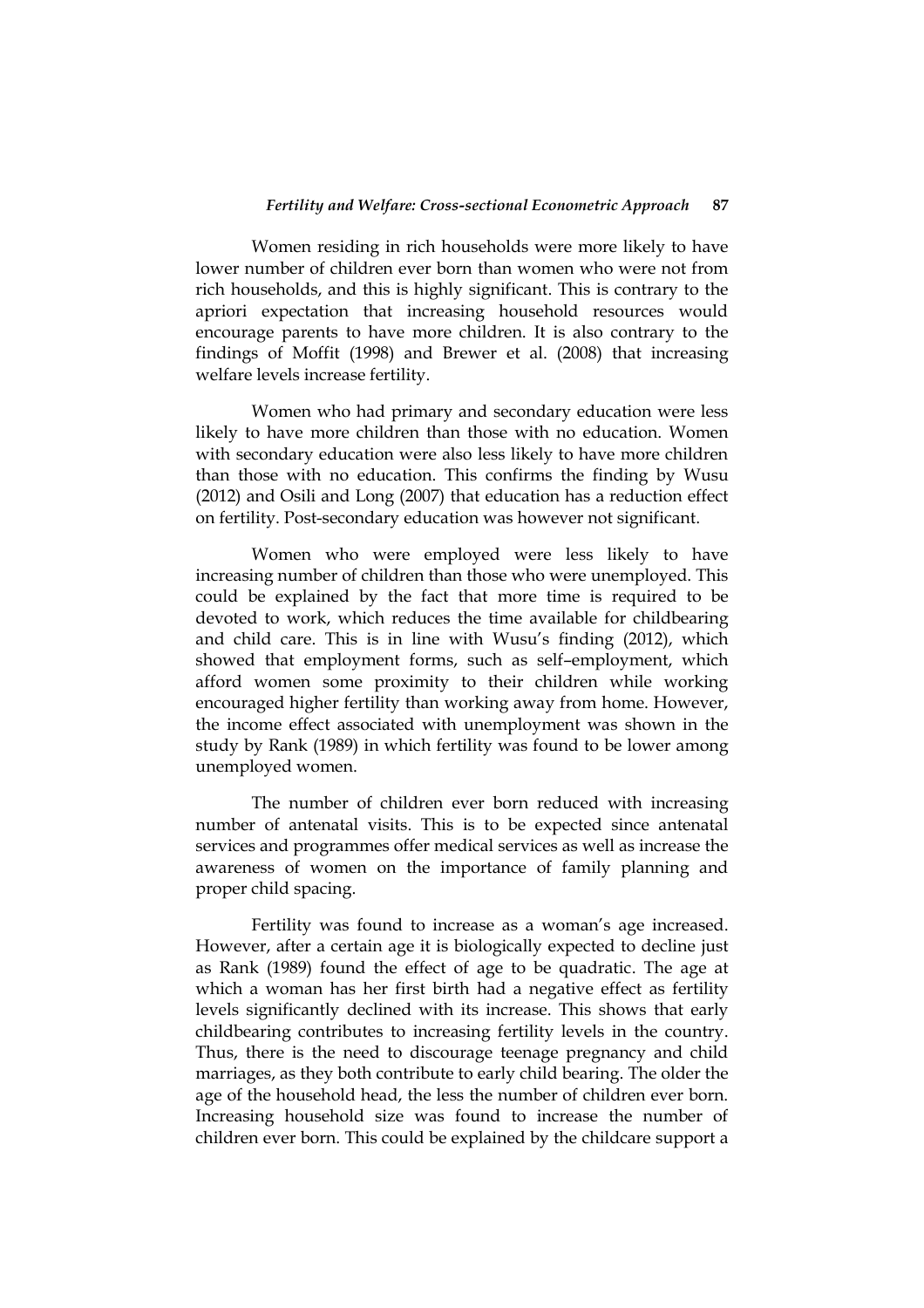Women residing in rich households were more likely to have lower number of children ever born than women who were not from rich households, and this is highly significant. This is contrary to the apriori expectation that increasing household resources would encourage parents to have more children. It is also contrary to the findings of Moffit (1998) and Brewer et al. (2008) that increasing welfare levels increase fertility.

Women who had primary and secondary education were less likely to have more children than those with no education. Women with secondary education were also less likely to have more children than those with no education. This confirms the finding by Wusu (2012) and Osili and Long (2007) that education has a reduction effect on fertility. Post-secondary education was however not significant.

Women who were employed were less likely to have increasing number of children than those who were unemployed. This could be explained by the fact that more time is required to be devoted to work, which reduces the time available for childbearing and child care. This is in line with Wusu's finding (2012), which showed that employment forms, such as self–employment, which afford women some proximity to their children while working encouraged higher fertility than working away from home. However, the income effect associated with unemployment was shown in the study by Rank (1989) in which fertility was found to be lower among unemployed women.

The number of children ever born reduced with increasing number of antenatal visits. This is to be expected since antenatal services and programmes offer medical services as well as increase the awareness of women on the importance of family planning and proper child spacing.

Fertility was found to increase as a woman's age increased. However, after a certain age it is biologically expected to decline just as Rank (1989) found the effect of age to be quadratic. The age at which a woman has her first birth had a negative effect as fertility levels significantly declined with its increase. This shows that early childbearing contributes to increasing fertility levels in the country. Thus, there is the need to discourage teenage pregnancy and child marriages, as they both contribute to early child bearing. The older the age of the household head, the less the number of children ever born. Increasing household size was found to increase the number of children ever born. This could be explained by the childcare support a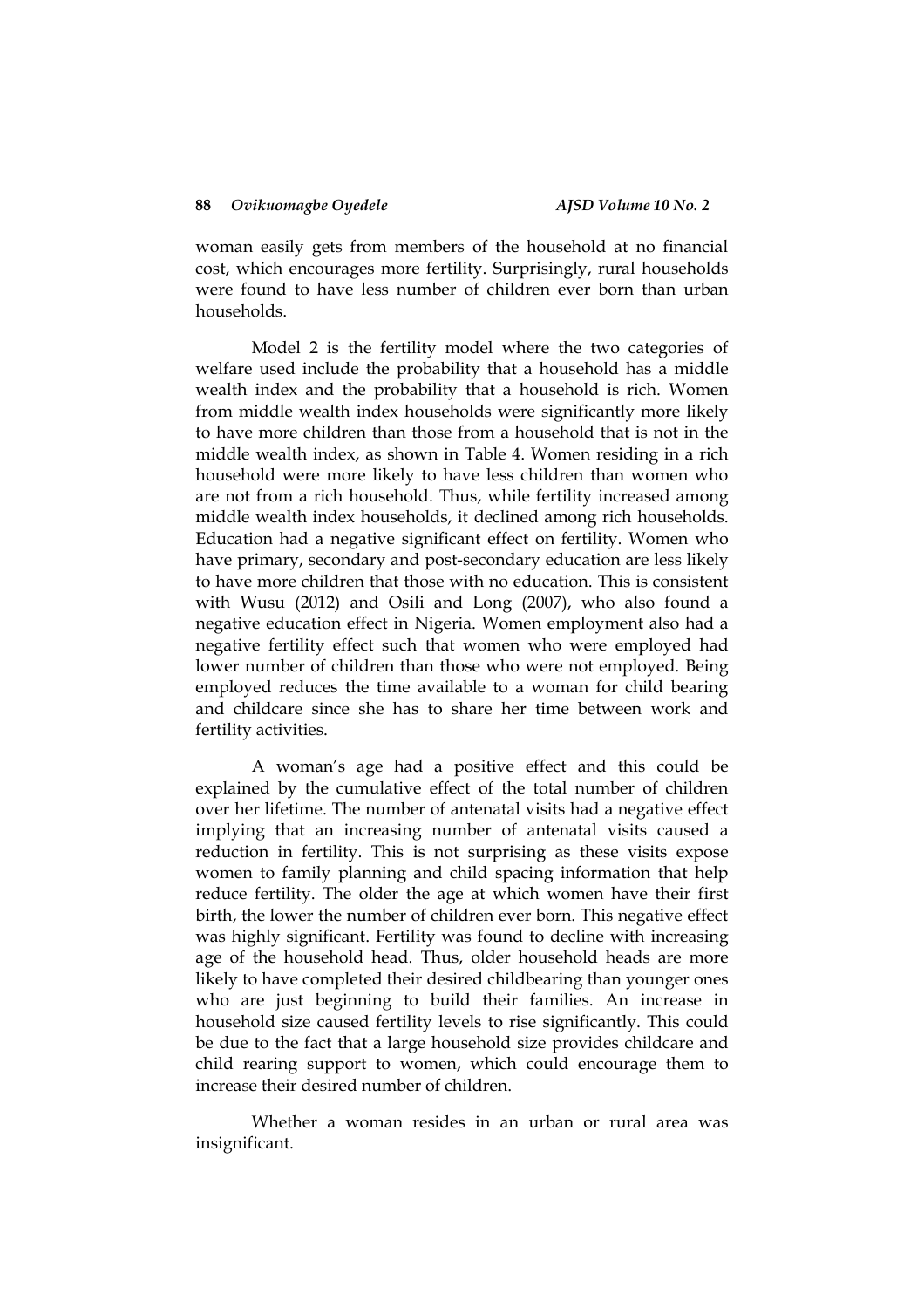woman easily gets from members of the household at no financial cost, which encourages more fertility. Surprisingly, rural households were found to have less number of children ever born than urban households.

Model 2 is the fertility model where the two categories of welfare used include the probability that a household has a middle wealth index and the probability that a household is rich. Women from middle wealth index households were significantly more likely to have more children than those from a household that is not in the middle wealth index, as shown in Table 4. Women residing in a rich household were more likely to have less children than women who are not from a rich household. Thus, while fertility increased among middle wealth index households, it declined among rich households. Education had a negative significant effect on fertility. Women who have primary, secondary and post-secondary education are less likely to have more children that those with no education. This is consistent with Wusu (2012) and Osili and Long (2007), who also found a negative education effect in Nigeria. Women employment also had a negative fertility effect such that women who were employed had lower number of children than those who were not employed. Being employed reduces the time available to a woman for child bearing and childcare since she has to share her time between work and fertility activities.

A woman's age had a positive effect and this could be explained by the cumulative effect of the total number of children over her lifetime. The number of antenatal visits had a negative effect implying that an increasing number of antenatal visits caused a reduction in fertility. This is not surprising as these visits expose women to family planning and child spacing information that help reduce fertility. The older the age at which women have their first birth, the lower the number of children ever born. This negative effect was highly significant. Fertility was found to decline with increasing age of the household head. Thus, older household heads are more likely to have completed their desired childbearing than younger ones who are just beginning to build their families. An increase in household size caused fertility levels to rise significantly. This could be due to the fact that a large household size provides childcare and child rearing support to women, which could encourage them to increase their desired number of children.

Whether a woman resides in an urban or rural area was insignificant.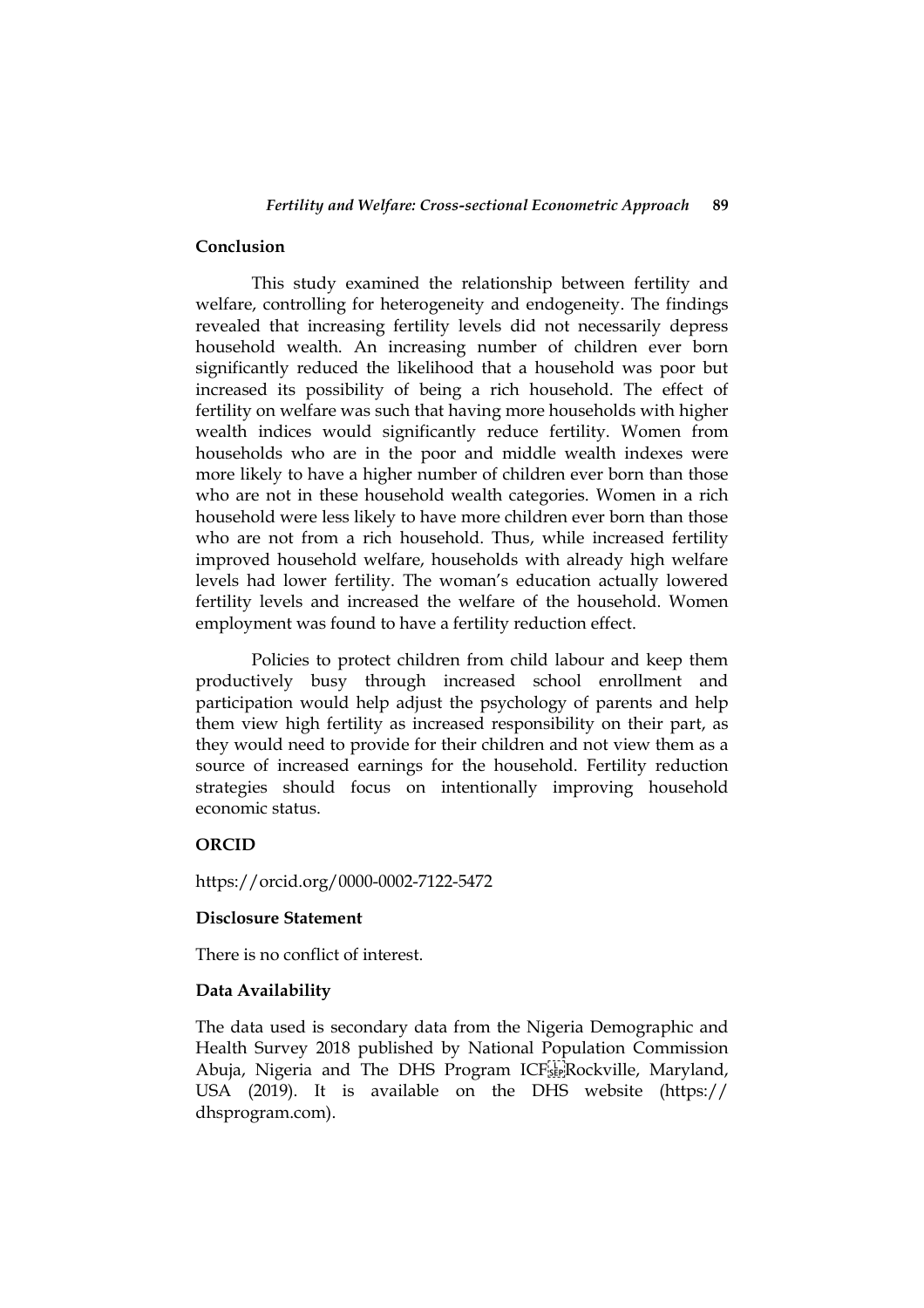## **Conclusion**

This study examined the relationship between fertility and welfare, controlling for heterogeneity and endogeneity. The findings revealed that increasing fertility levels did not necessarily depress household wealth. An increasing number of children ever born significantly reduced the likelihood that a household was poor but increased its possibility of being a rich household. The effect of fertility on welfare was such that having more households with higher wealth indices would significantly reduce fertility. Women from households who are in the poor and middle wealth indexes were more likely to have a higher number of children ever born than those who are not in these household wealth categories. Women in a rich household were less likely to have more children ever born than those who are not from a rich household. Thus, while increased fertility improved household welfare, households with already high welfare levels had lower fertility. The woman's education actually lowered fertility levels and increased the welfare of the household. Women employment was found to have a fertility reduction effect.

Policies to protect children from child labour and keep them productively busy through increased school enrollment and participation would help adjust the psychology of parents and help them view high fertility as increased responsibility on their part, as they would need to provide for their children and not view them as a source of increased earnings for the household. Fertility reduction strategies should focus on intentionally improving household economic status.

## **ORCID**

https://orcid.org/0000-0002-7122-5472

## **Disclosure Statement**

There is no conflict of interest.

## **Data Availability**

The data used is secondary data from the Nigeria Demographic and Health Survey 2018 published by National Population Commission Abuja, Nigeria and The DHS Program ICF Rockville, Maryland, USA (2019). It is available on the DHS website (https:// dhsprogram.com).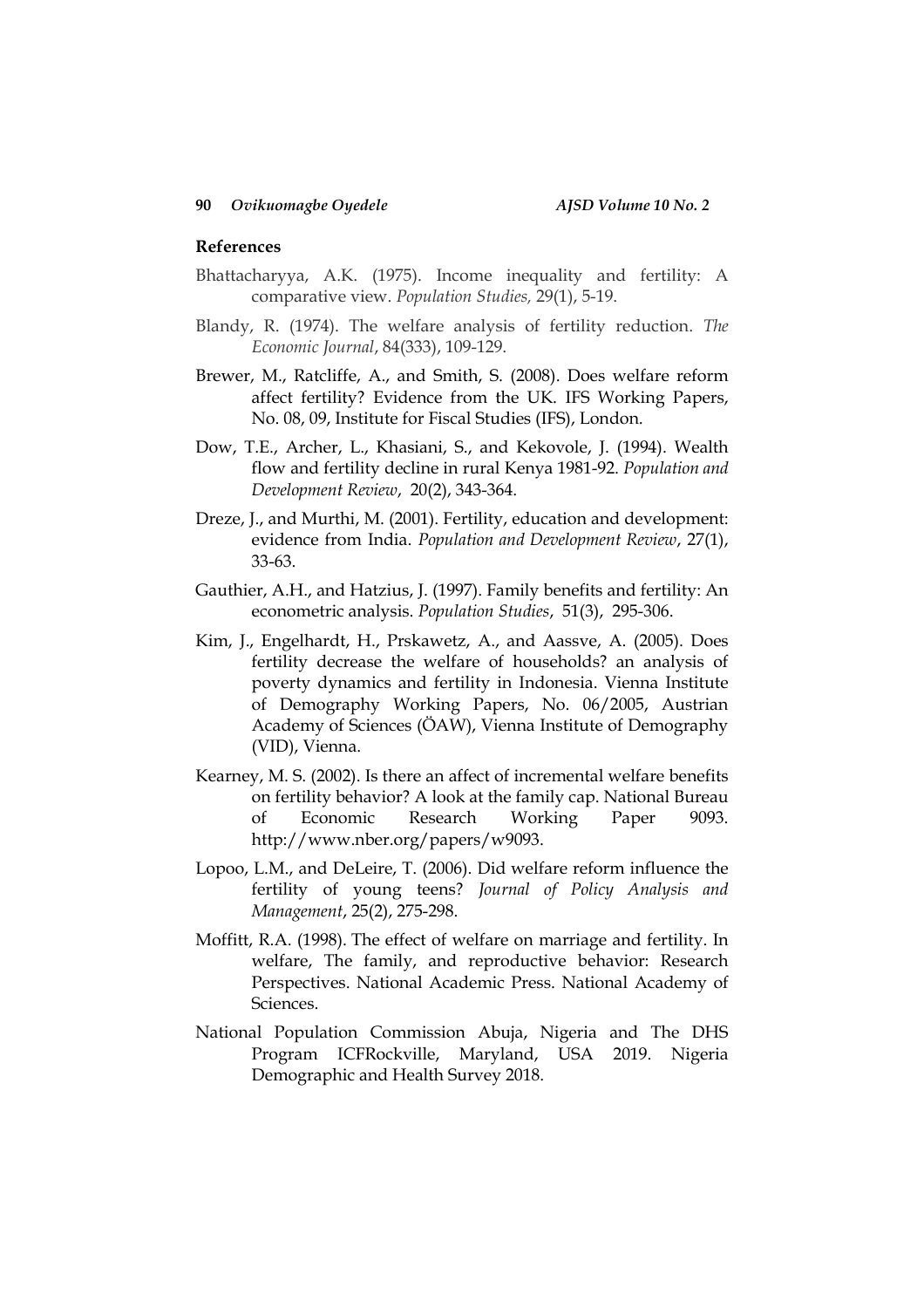## **References**

- Bhattacharyya, A.K. (1975). Income inequality and fertility: A comparative view. *Population Studies,* 29(1), 5-19.
- Blandy, R. (1974). The welfare analysis of fertility reduction. *The Economic Journal*, 84(333), 109-129.
- Brewer, M., Ratcliffe, A., and Smith, S. (2008). Does welfare reform affect fertility? Evidence from the UK. IFS Working Papers, No. 08, 09, Institute for Fiscal Studies (IFS), London.
- Dow, T.E., Archer, L., Khasiani, S., and Kekovole, J. (1994). Wealth flow and fertility decline in rural Kenya 1981-92. *Population and Development Review*, 20(2), 343-364.
- Dreze, J., and Murthi, M. (2001). Fertility, education and development: evidence from India. *Population and Development Review*, 27(1), 33-63.
- Gauthier, A.H., and Hatzius, J. (1997). Family benefits and fertility: An econometric analysis. *Population Studies*, 51(3), 295-306.
- Kim, J., Engelhardt, H., Prskawetz, A., and Aassve, A. (2005). Does fertility decrease the welfare of households? an analysis of poverty dynamics and fertility in Indonesia. Vienna Institute of Demography Working Papers, No. 06/2005, Austrian Academy of Sciences (ÖAW), Vienna Institute of Demography (VID), Vienna.
- Kearney, M. S. (2002). Is there an affect of incremental welfare benefits on fertility behavior? A look at the family cap. National Bureau of Economic Research Working Paper 9093. http://www.nber.org/papers/w9093.
- Lopoo, L.M., and DeLeire, T. (2006). Did welfare reform influence the fertility of young teens? *Journal of Policy Analysis and Management*, 25(2), 275-298.
- Moffitt, R.A. (1998). The effect of welfare on marriage and fertility. In welfare, The family, and reproductive behavior: Research Perspectives. National Academic Press. National Academy of Sciences.
- National Population Commission Abuja, Nigeria and The DHS Program ICFRockville, Maryland, USA 2019. Nigeria Demographic and Health Survey 2018.